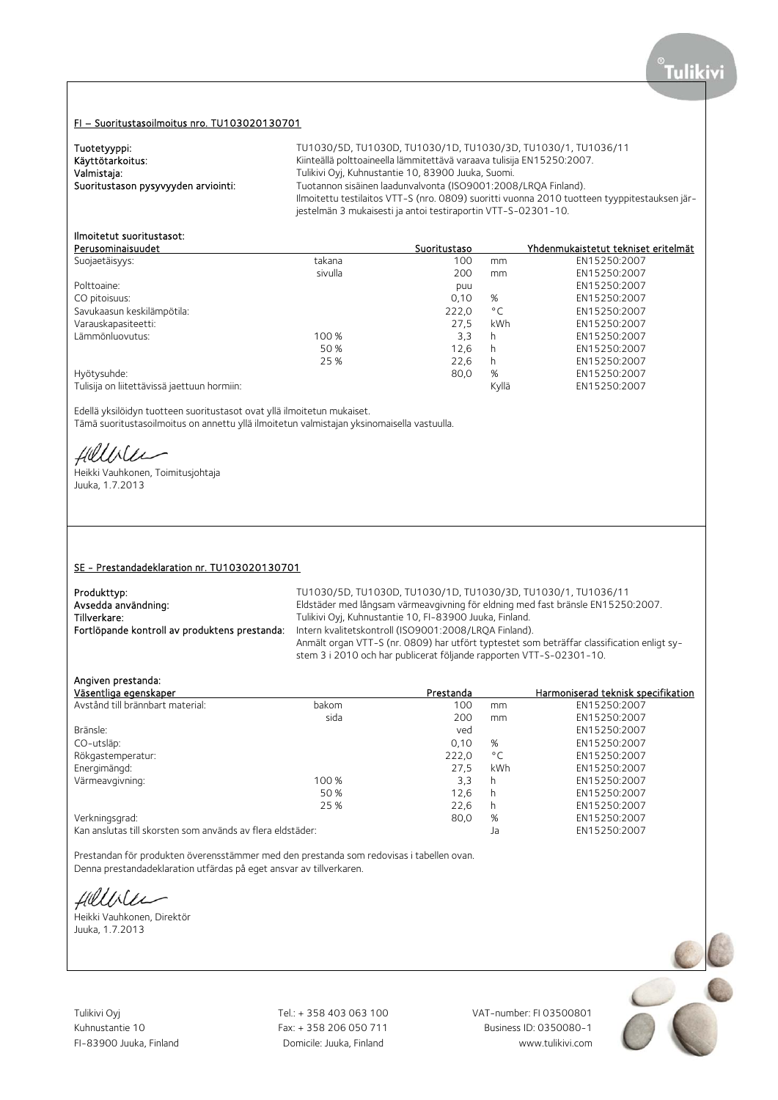# FI – Suoritustasoilmoitus nro. TU103020130701

| Tuotetyyppi:                        | TU1030/5D, TU1030D, TU1030/1D, TU1030/3D, TU1030/1, TU1036/11                                |
|-------------------------------------|----------------------------------------------------------------------------------------------|
| Käyttötarkoitus:                    | Kiinteällä polttoaineella lämmitettävä varaava tulisija EN15250:2007.                        |
| Valmistaja:                         | Tulikivi Oyi, Kuhnustantie 10, 83900 Juuka, Suomi.                                           |
| Suoritustason pysyvyyden arviointi: | Tuotannon sisäinen laadunvalvonta (ISO9001:2008/LROA Finland).                               |
|                                     | Ilmoitettu testilaitos VTT-S (nro. 0809) suoritti vuonna 2010 tuotteen tyyppitestauksen jär- |
|                                     | jestelmän 3 mukaisesti ja antoi testiraportin VTT-S-02301-10.                                |

# Ilmoitetut suoritustasot:

| Perusominaisuudet                           |         | Suoritustaso |              | Yhdenmukaistetut tekniset eritelmät |
|---------------------------------------------|---------|--------------|--------------|-------------------------------------|
| Suojaetäisyys:                              | takana  | 100          | mm           | EN15250:2007                        |
|                                             | sivulla | 200          | mm           | EN15250:2007                        |
| Polttoaine:                                 |         | puu          |              | EN15250:2007                        |
| CO pitoisuus:                               |         | 0,10         | %            | EN15250:2007                        |
| Savukaasun keskilämpötila:                  |         | 222,0        | $^{\circ}$ C | EN15250:2007                        |
| Varauskapasiteetti:                         |         | 27.5         | kWh          | EN15250:2007                        |
| Lämmönluovutus:                             | 100 %   | 3,3          | h            | EN15250:2007                        |
|                                             | 50 %    | 12.6         | h            | EN15250:2007                        |
|                                             | 25 %    | 22.6         | h            | EN15250:2007                        |
| Hyötysuhde:                                 |         | 80,0         | %            | EN15250:2007                        |
| Tulisija on liitettävissä jaettuun hormiin: |         |              | Kyllä        | EN15250:2007                        |

Edellä yksilöidyn tuotteen suoritustasot ovat yllä ilmoitetun mukaiset.

Tämä suoritustasoilmoitus on annettu yllä ilmoitetun valmistajan yksinomaisella vastuulla.

Helloles

Heikki Vauhkonen, Toimitusjohtaja Juuka, 1.7.2013

#### SE - Prestandadeklaration nr. TU103020130701

| TU1030/5D, TU1030D, TU1030/1D, TU1030/3D, TU1030/1, TU1036/11                                                                                                     |
|-------------------------------------------------------------------------------------------------------------------------------------------------------------------|
| Eldstäder med långsam värmeavgivning för eldning med fast bränsle EN15250:2007.                                                                                   |
| Tulikivi Oyj, Kuhnustantie 10, FI-83900 Juuka, Finland.                                                                                                           |
| Intern kvalitetskontroll (ISO9001:2008/LROA Finland).                                                                                                             |
| Anmält organ VTT-S (nr. 0809) har utfört typtestet som beträffar classification enligt sy-<br>stem 3 i 2010 och har publicerat följande rapporten VTT-S-02301-10. |
|                                                                                                                                                                   |

## Angiven prestanda:

| Väsentliga egenskaper                                      |       | Prestanda |              | Harmoniserad teknisk specifikation |
|------------------------------------------------------------|-------|-----------|--------------|------------------------------------|
| Avstånd till brännbart material:                           | bakom | 100       | mm           | EN15250:2007                       |
|                                                            | sida  | 200       | mm           | EN15250:2007                       |
| Bränsle:                                                   |       | ved       |              | EN15250:2007                       |
| CO-utsläp:                                                 |       | 0,10      | %            | EN15250:2007                       |
| Rökgastemperatur:                                          |       | 222,0     | $^{\circ}$ C | EN15250:2007                       |
| Energimängd:                                               |       | 27.5      | kWh          | EN15250:2007                       |
| Värmeavgivning:                                            | 100 % | 3,3       | h            | EN15250:2007                       |
|                                                            | 50 %  | 12.6      | h            | EN15250:2007                       |
|                                                            | 25 %  | 22,6      | h            | EN15250:2007                       |
| Verkningsgrad:                                             |       | 80,0      | %            | EN15250:2007                       |
| Kan anslutas till skorsten som används av flera eldstäder: |       |           | Ja           | EN15250:2007                       |

Prestandan för produkten överensstämmer med den prestanda som redovisas i tabellen ovan. Denna prestandadeklaration utfärdas på eget ansvar av tillverkaren.

fillble

Heikki Vauhkonen, Direktör Juuka, 1.7.2013

Tulikivi Oyj Tel.: + 358 403 063 100 VAT-number: FI 03500801

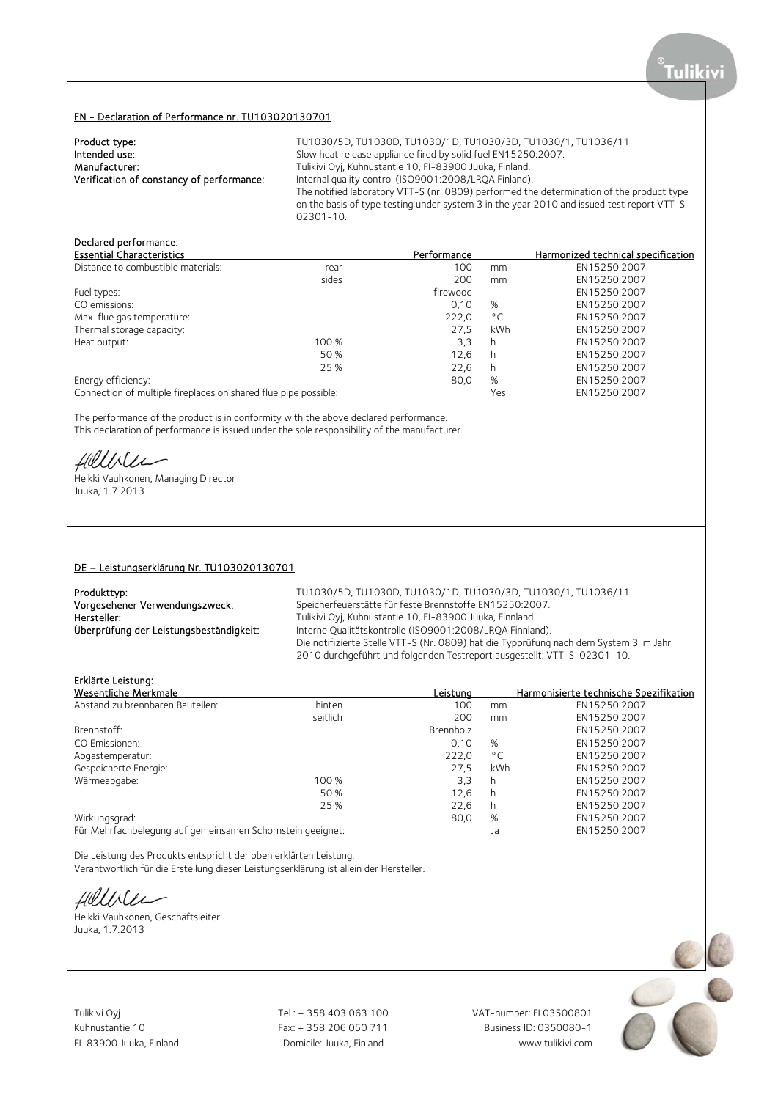#### EN - Declaration of Performance nr. TU103020130701

| Product type:                             | TU1030/5D, TU1030D, TU1030/1D, TU1030/3D, TU1030/1, TU1036/11                              |
|-------------------------------------------|--------------------------------------------------------------------------------------------|
| Intended use:                             | Slow heat release appliance fired by solid fuel EN15250:2007.                              |
| Manufacturer:                             | Tulikivi Oyj, Kuhnustantie 10, FI-83900 Juuka, Finland.                                    |
| Verification of constancy of performance: | Internal quality control (ISO9001:2008/LROA Finland).                                      |
|                                           | The notified laboratory VTT-S (nr. 0809) performed the determination of the product type   |
|                                           | on the basis of type testing under system 3 in the year 2010 and issued test report VTT-S- |
|                                           | $02301 - 10$                                                                               |

## Declared performance:

| <b>Essential Characteristics</b>                                |       | Performance |              | Harmonized technical specification |
|-----------------------------------------------------------------|-------|-------------|--------------|------------------------------------|
| Distance to combustible materials:                              | rear  | 100         | mm           | EN15250:2007                       |
|                                                                 | sides | 200         | mm           | EN15250:2007                       |
| Fuel types:                                                     |       | firewood    |              | EN15250:2007                       |
| CO emissions:                                                   |       | 0.10        | %            | EN15250:2007                       |
| Max. flue gas temperature:                                      |       | 222,0       | $^{\circ}$ C | EN15250:2007                       |
| Thermal storage capacity:                                       |       | 27.5        | kWh          | EN15250:2007                       |
| Heat output:                                                    | 100 % | 3,3         | h            | EN15250:2007                       |
|                                                                 | 50%   | 12.6        | h            | EN15250:2007                       |
|                                                                 | 25 %  | 22,6        | h            | EN15250:2007                       |
| Energy efficiency:                                              |       | 80,0        | %            | EN15250:2007                       |
| Connection of multiple fireplaces on shared flue pipe possible: |       |             | Yes          | EN15250:2007                       |

The performance of the product is in conformity with the above declared performance. This declaration of performance is issued under the sole responsibility of the manufacturer.

filliler

Heikki Vauhkonen, Managing Director Juuka, 1.7.2013

### DE – Leistungserklärung Nr. TU103020130701

| Produkttyp:                             | TU1030/5D, TU1030D, TU1030/1D, TU1030/3D, TU1030/1, TU1036/11                         |
|-----------------------------------------|---------------------------------------------------------------------------------------|
| Vorgesehener Verwendungszweck:          | Speicherfeuerstätte für feste Brennstoffe EN15250:2007.                               |
| Hersteller:                             | Tulikivi Oyi, Kuhnustantie 10, FI-83900 Juuka, Finnland.                              |
| Überprüfung der Leistungsbeständigkeit: | Interne Qualitätskontrolle (ISO9001:2008/LRQA Finnland).                              |
|                                         | Die notifizierte Stelle VTT-S (Nr. 0809) hat die Typprüfung nach dem System 3 im Jahr |
|                                         | 2010 durchgeführt und folgenden Testreport ausgestellt: VTT-S-02301-10.               |

# Erklärte Leistung:

| Wesentliche Merkmale                                       |          | Leistung  |              | Harmonisierte technische Spezifikation |
|------------------------------------------------------------|----------|-----------|--------------|----------------------------------------|
| Abstand zu brennbaren Bauteilen:                           | hinten   | 100       | mm           | EN15250:2007                           |
|                                                            | seitlich | 200       | mm           | EN15250:2007                           |
| Brennstoff:                                                |          | Brennholz |              | EN15250:2007                           |
| CO Emissionen:                                             |          | 0,10      | %            | EN15250:2007                           |
| Abgastemperatur:                                           |          | 222,0     | $^{\circ}$ C | EN15250:2007                           |
| Gespeicherte Energie:                                      |          | 27.5      | kWh          | EN15250:2007                           |
| Wärmeabgabe:                                               | 100 %    | 3,3       | h            | EN15250:2007                           |
|                                                            | 50 %     | 12,6      | h            | EN15250:2007                           |
|                                                            | 25 %     | 22,6      | h            | EN15250:2007                           |
| Wirkungsgrad:                                              |          | 80,0      | %            | EN15250:2007                           |
| Für Mehrfachbelegung auf gemeinsamen Schornstein geeignet: |          |           | Ja           | EN15250:2007                           |

Die Leistung des Produkts entspricht der oben erklärten Leistung. Verantwortlich für die Erstellung dieser Leistungserklärung ist allein der Hersteller.

fillble

Heikki Vauhkonen, Geschäftsleiter Juuka, 1.7.2013

Tulikivi Oyj Tel.: + 358 403 063 100 VAT-number: FI 03500801 Kuhnustantie 10 Fax: + 358 206 050 711

FI-83900 Juuka, Finland Domicile: Juuka, Finland www.tulikivi.com

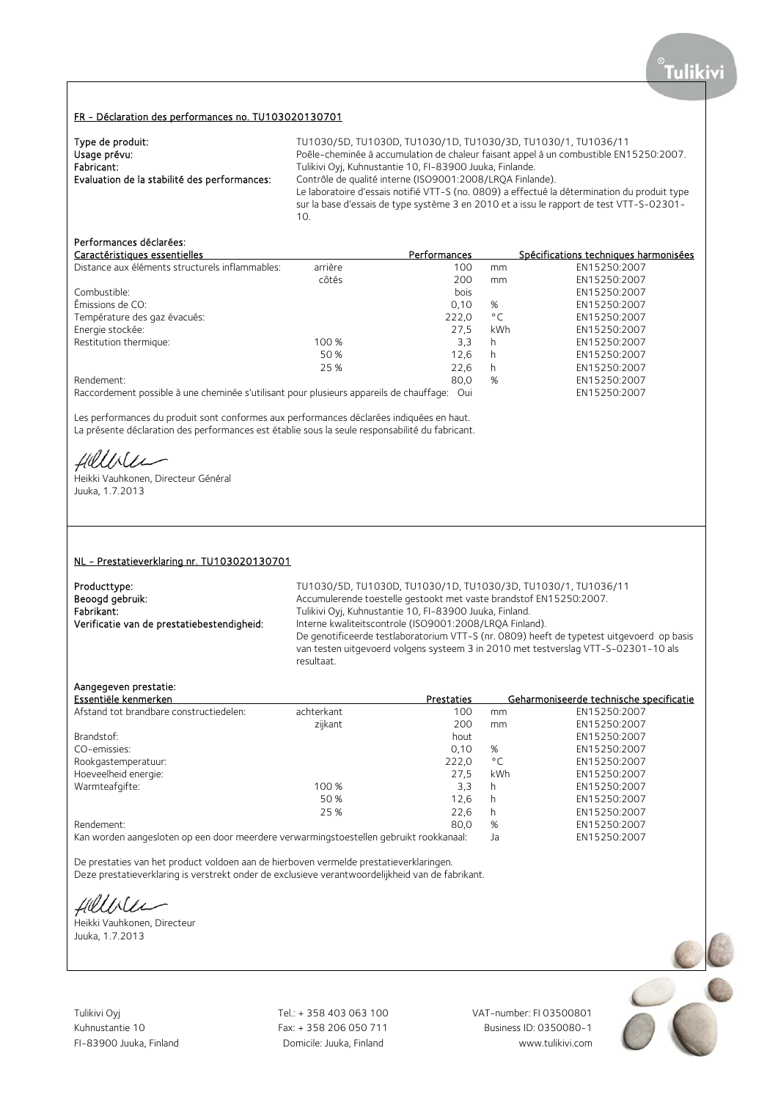#### FR - Déclaration des performances no. TU103020130701

| Type de produit:                             | TU1030/5D, TU1030D, TU1030/1D, TU1030/3D, TU1030/1, TU1036/11                                                                                                                                                                                                |
|----------------------------------------------|--------------------------------------------------------------------------------------------------------------------------------------------------------------------------------------------------------------------------------------------------------------|
| Usage prévu:                                 | Poêle-cheminée à accumulation de chaleur faisant appel à un combustible EN15250:2007.                                                                                                                                                                        |
| Fabricant:                                   | Tulikivi Oyj, Kuhnustantie 10, FI-83900 Juuka, Finlande.                                                                                                                                                                                                     |
| Evaluation de la stabilité des performances: | Contrôle de qualité interne (ISO9001:2008/LROA Finlande).<br>Le laboratoire d'essais notifié VTT-S (no. 0809) a effectué la détermination du produit type<br>sur la base d'essais de type système 3 en 2010 et a issu le rapport de test VTT-S-02301-<br>10. |

## Performances déclarées:

| Caractéristiques essentielles                   |         | <b>Performances</b> |              | Spécifications techniques harmonisées |
|-------------------------------------------------|---------|---------------------|--------------|---------------------------------------|
| Distance aux éléments structurels inflammables: | arrière | 100                 | mm           | EN15250:2007                          |
|                                                 | côtés   | 200                 | mm           | EN15250:2007                          |
| Combustible:                                    |         | bois                |              | EN15250:2007                          |
| Émissions de CO:                                |         | 0.10                | %            | EN15250:2007                          |
| Température des gaz évacués:                    |         | 222.0               | $^{\circ}$ C | EN15250:2007                          |
| Energie stockée:                                |         | 27.5                | kWh          | EN15250:2007                          |
| Restitution thermique:                          | 100 %   | 3,3                 | h            | EN15250:2007                          |
|                                                 | 50 %    | 12.6                | h            | EN15250:2007                          |
|                                                 | 25 %    | 22.6                | h            | EN15250:2007                          |
| Rendement:                                      |         | 80,0                | %            | EN15250:2007                          |
|                                                 |         |                     |              |                                       |

Raccordement possible à une cheminée s'utilisant pour plusieurs appareils de chauffage: Oui EN15250:2007

Les performances du produit sont conformes aux performances déclarées indiquées en haut. La présente déclaration des performances est établie sous la seule responsabilité du fabricant.

fillble

Heikki Vauhkonen, Directeur Général Juuka, 1.7.2013

#### NL - Prestatieverklaring nr. TU103020130701

Producttype: TU1030/5D, TU1030D, TU1030/1D, TU1030/3D, TU1030/1D, TU1030/1D, TU1030/1, TU1036/11<br>Beoogd gebruik: Subsetime and the Accumulerende toestelle gestookt met vaste brandstof EN15250:2007. Beoogd gebruik: <br>Accumulerende toestelle gestookt met vaste brandstof EN15250:2007.<br>Fabrikant: Tulikivi Oyi, Kuhnustantie 10, FI-83900 Juuka, Finland. Fabrikant: Tulikivi Oyj, Kuhnustantie 10, FI-83900 Juuka, Finland.<br>1. Tulikivi Oyj, Kuhnustantie 10, FI-83900 Juuka, Finland. Verificatie van de prestatiebestendigheid: Interne Interne kwaliteitscontrole (ISO9001:2008/LROA Finland). De genotificeerde testlaboratorium VTT-S (nr. 0809) heeft de typetest uitgevoerd op basis van testen uitgevoerd volgens systeem 3 in 2010 met testverslag VTT-S-02301-10 als resultaat.

### Aangegeven prestatie:

| Essentiële kenmerken                    |            | Prestaties |               | Geharmoniseerde technische specificatie |
|-----------------------------------------|------------|------------|---------------|-----------------------------------------|
| Afstand tot brandbare constructiedelen: | achterkant | 100        | mm            | EN15250:2007                            |
|                                         | zijkant    | 200        | <sub>mm</sub> | EN15250:2007                            |
| Brandstof:                              |            | hout       |               | EN15250:2007                            |
| CO-emissies:                            |            | 0.10       | %             | EN15250:2007                            |
| Rookgastemperatuur:                     |            | 222,0      | $^{\circ}$ C  | EN15250:2007                            |
| Hoeveelheid energie:                    |            | 27,5       | kWh           | EN15250:2007                            |
| Warmteafgifte:                          | 100 %      | 3.3        | h             | EN15250:2007                            |
|                                         | 50 %       | 12.6       | h             | EN15250:2007                            |
|                                         | 25 %       | 22.6       | h             | EN15250:2007                            |
| Rendement:                              |            | 80.0       | %             | EN15250:2007                            |
|                                         |            |            |               |                                         |

Kan worden aangesloten op een door meerdere verwarmingstoestellen gebruikt rookkanaal: Ja EN15250:2007

De prestaties van het product voldoen aan de hierboven vermelde prestatieverklaringen.

Deze prestatieverklaring is verstrekt onder de exclusieve verantwoordelijkheid van de fabrikant.

Hillbler

Heikki Vauhkonen, Directeur Juuka, 1.7.2013

Tulikivi Oyj Tel.: + 358 403 063 100 VAT-number: FI 03500801

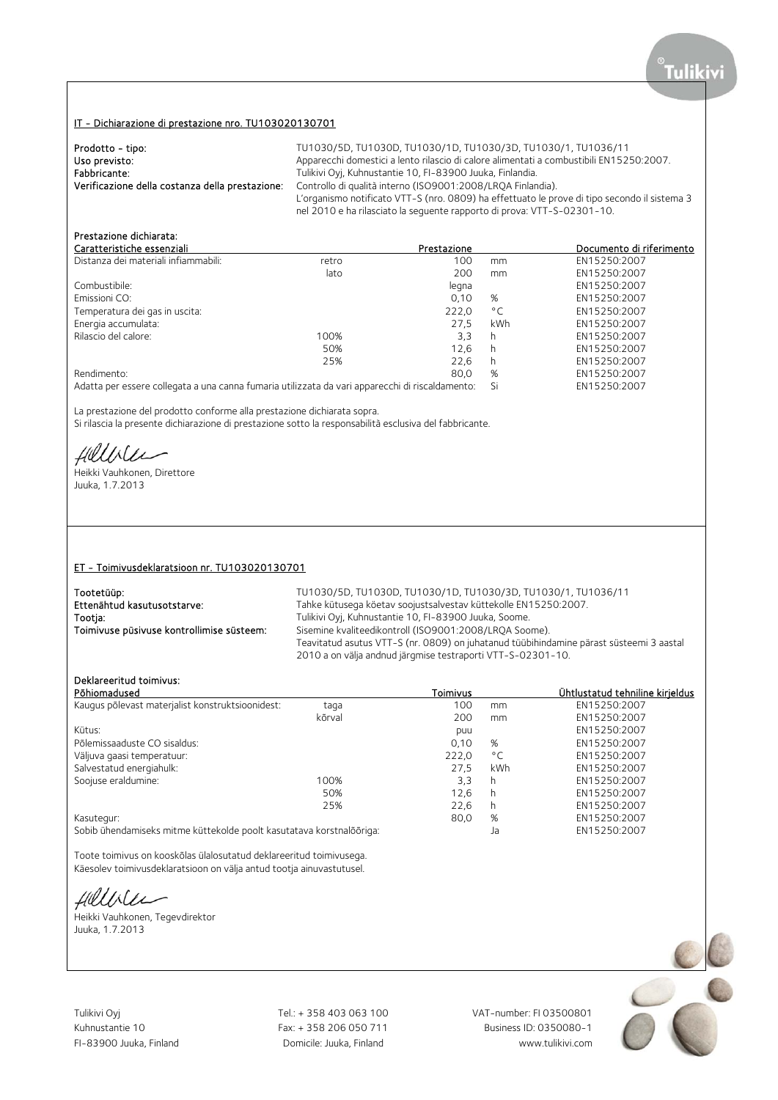## IT - Dichiarazione di prestazione nro. TU103020130701

| Prodotto - tipo:                                | TU1030/5D, TU1030D, TU1030/1D, TU1030/3D, TU1030/1, TU1036/11                                |
|-------------------------------------------------|----------------------------------------------------------------------------------------------|
| Uso previsto:                                   | Apparecchi domestici a lento rilascio di calore alimentati a combustibili EN15250:2007.      |
| Fabbricante:                                    | Tulikivi Oyj, Kuhnustantie 10, FI-83900 Juuka, Finlandia.                                    |
| Verificazione della costanza della prestazione: | Controllo di qualità interno (ISO9001:2008/LROA Finlandia).                                  |
|                                                 | L'organismo notificato VTT-S (nro. 0809) ha effettuato le prove di tipo secondo il sistema 3 |
|                                                 | nel 2010 e ha rilasciato la seguente rapporto di prova: VTT-S-02301-10.                      |

# Prestazione dichiarata:

| Caratteristiche essenziali                                                                         |       | Prestazione |              | Documento di riferimento |
|----------------------------------------------------------------------------------------------------|-------|-------------|--------------|--------------------------|
| Distanza dei materiali infiammabili:                                                               | retro | 100         | mm           | EN15250:2007             |
|                                                                                                    | lato  | 200         | mm           | EN15250:2007             |
| Combustibile:                                                                                      |       | legna       |              | EN15250:2007             |
| Emissioni CO:                                                                                      |       | 0.10        | %            | EN15250:2007             |
| Temperatura dei gas in uscita:                                                                     |       | 222,0       | $^{\circ}$ C | EN15250:2007             |
| Energia accumulata:                                                                                |       | 27.5        | kWh          | EN15250:2007             |
| Rilascio del calore:                                                                               | 100%  | 3.3         | h            | EN15250:2007             |
|                                                                                                    | 50%   | 12.6        | h            | EN15250:2007             |
|                                                                                                    | 25%   | 22.6        | h            | EN15250:2007             |
| Rendimento:                                                                                        |       | 80.0        | %            | EN15250:2007             |
| Adatta para casare collegeta e una capaç fumaria utilizzata da vari appareccio i di riccaldamento: |       |             | $\mathsf{C}$ | FMAE 2E0.2007            |

Adatta per essere collegata a una canna fumaria utilizzata da vari apparecchi di riscaldamento: Si EN15250:2007

La prestazione del prodotto conforme alla prestazione dichiarata sopra.

Si rilascia la presente dichiarazione di prestazione sotto la responsabilità esclusiva del fabbricante.

Hillble

Heikki Vauhkonen, Direttore Juuka, 1.7.2013

### ET - Toimivusdeklaratsioon nr. TU103020130701

| Tootetüüp:                                | TU1030/5D, TU1030D, TU1030/1D, TU1030/3D, TU1030/1, TU1036/11                           |
|-------------------------------------------|-----------------------------------------------------------------------------------------|
| Ettenähtud kasutusotstarve:               | Tahke kütusega köetav soojustsalvestav küttekolle EN15250:2007.                         |
| Tootja:                                   | Tulikivi Oyj, Kuhnustantie 10, FI-83900 Juuka, Soome.                                   |
| Toimivuse püsivuse kontrollimise süsteem: | Sisemine kvaliteedikontroll (ISO9001:2008/LROA Soome).                                  |
|                                           | Teavitatud asutus VTT-S (nr. 0809) on juhatanud tüübihindamine pärast süsteemi 3 aastal |
|                                           | 2010 a on välja andnud järgmise testraporti VTT-S-02301-10.                             |
|                                           |                                                                                         |

## Deklareeritud toimivus:

|                                                                      |       |                  | <u>Ühtlustatud tehniline kirieldus</u> |
|----------------------------------------------------------------------|-------|------------------|----------------------------------------|
| taga                                                                 | 100   | mm               | EN15250:2007                           |
| kõrval                                                               | 200   | mm               | EN15250:2007                           |
|                                                                      | puu   |                  | EN15250:2007                           |
|                                                                      | 0,10  | %                | EN15250:2007                           |
|                                                                      | 222,0 | $^{\circ}$ C     | EN15250:2007                           |
|                                                                      | 27.5  | kWh              | EN15250:2007                           |
| 100%                                                                 | 3.3   | h                | EN15250:2007                           |
| 50%                                                                  | 12.6  | h                | EN15250:2007                           |
| 25%                                                                  | 22,6  | h                | EN15250:2007                           |
| Kasutegur:                                                           |       | %                | EN15250:2007                           |
| Sobib ühendamiseks mitme küttekolde poolt kasutatava korstnalõõriga: |       | Ja               | EN15250:2007                           |
|                                                                      |       | Toimivus<br>80,0 |                                        |

Toote toimivus on kooskõlas ülalosutatud deklareeritud toimivusega. Käesolev toimivusdeklaratsioon on välja antud tootja ainuvastutusel.

fillble

Heikki Vauhkonen, Tegevdirektor Juuka, 1.7.2013

Tulikivi Oyj Tel.: + 358 403 063 100 VAT-number: FI 03500801

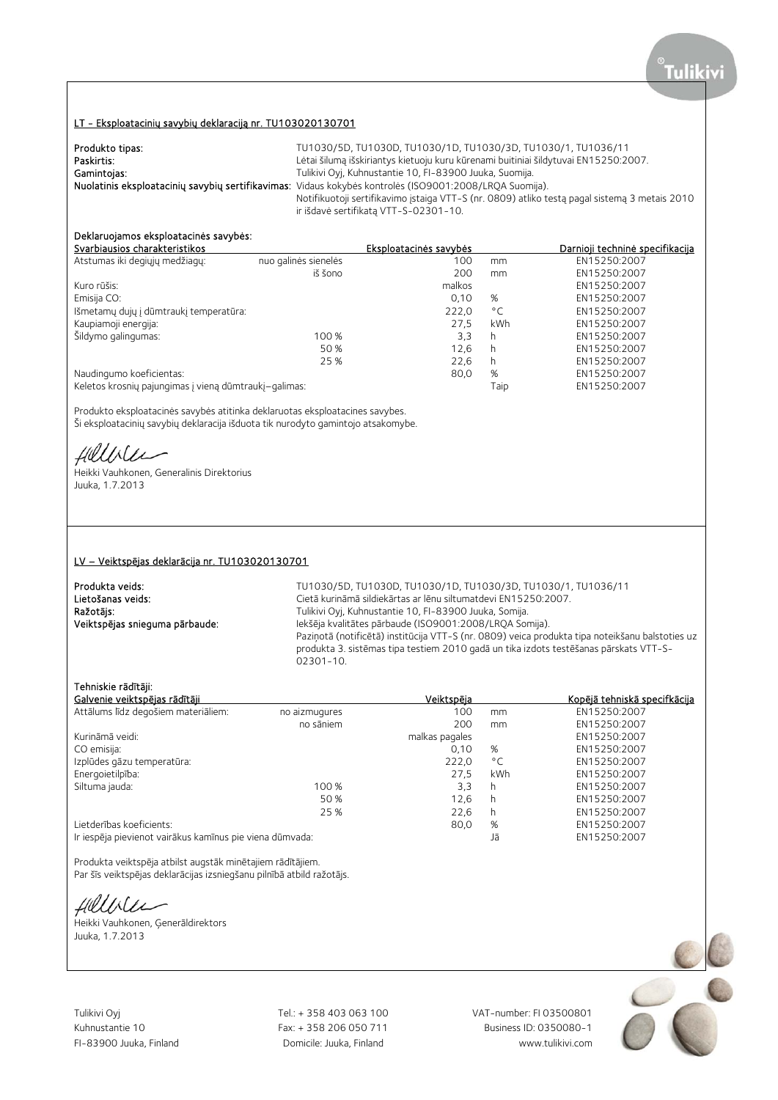## LT - Eksploatacinių savybių deklaraciją nr. TU103020130701

| Produkto tipas: | TU1030/5D, TU1030D, TU1030/1D, TU1030/3D, TU1030/1, TU1036/11                                           |
|-----------------|---------------------------------------------------------------------------------------------------------|
| Paskirtis:      | Lėtai šilumą išskiriantys kietuoju kuru kūrenami buitiniai šildytuvai EN15250:2007.                     |
| Gamintojas:     | Tulikivi Oyj, Kuhnustantie 10, FI-83900 Juuka, Suomija.                                                 |
|                 | Nuolatinis eksploatacinių savybių sertifikavimas: Vidaus kokybės kontrolės (ISO9001:2008/LRQA Suomija). |
|                 | Notifikuotoji sertifikavimo įstaiga VTT-S (nr. 0809) atliko testą pagal sistemą 3 metais 2010           |
|                 | ir išdavė sertifikatą VTT-S-02301-10.                                                                   |

# Deklaruojamos eksploatacinės savybės:

| Svarbiausios charakteristikos                         |                      | Eksploatacinės savybės |              | Darnioji techninė specifikacija |
|-------------------------------------------------------|----------------------|------------------------|--------------|---------------------------------|
| Atstumas iki degiųjų medžiagų:                        | nuo galinės sienelės | 100                    | mm           | EN15250:2007                    |
|                                                       | iš šono              | 200                    | mm           | EN15250:2007                    |
| Kuro rūšis:                                           |                      | malkos                 |              | EN15250:2007                    |
| Emisija CO:                                           |                      | 0.10                   | %            | EN15250:2007                    |
| Išmetamų dujų į dūmtraukį temperatūra:                |                      | 222,0                  | $^{\circ}$ C | EN15250:2007                    |
| Kaupiamoji energija:                                  |                      | 27.5                   | kWh          | EN15250:2007                    |
| Šildymo galingumas:                                   | 100 %                | 3,3                    | h            | EN15250:2007                    |
|                                                       | 50 %                 | 12.6                   | h            | EN15250:2007                    |
|                                                       | 25 %                 | 22.6                   | h            | EN15250:2007                    |
| Naudingumo koeficientas:                              |                      | 80,0                   | %            | EN15250:2007                    |
| Keletos krosnių pajungimas į vieną dūmtraukį–galimas: |                      |                        | Taip         | EN15250:2007                    |
|                                                       |                      |                        |              |                                 |

Produkto eksploatacinės savybės atitinka deklaruotas eksploatacines savybes. Ši eksploatacinių savybių deklaracija išduota tik nurodyto gamintojo atsakomybe.

Hillble

Heikki Vauhkonen, Generalinis Direktorius Juuka, 1.7.2013

#### LV – Veiktspējas deklarācija nr. TU103020130701

**Produkta veids:** TU1030/5D, TU1030D, TU1030/1D, TU1030/3D, TU1030/1, TU1030/1, TU1036/11<br>Cietā kurināmā sildiekārtas ar lēnu siltumatdevi EN15250:2007. Lietošanas veids: Cietā kurināmā sildiekārtas ar lēnu siltumatdevi EN15250:2007.<br>
Ražotājs: Cietā siltumatorija ir Unikivi Oyj, Kuhnustantie 10, FI-83900 Juuka, Somija. Ražotājs: Tulikivi Oyj, Kuhnustantie 10, FI-83900 Juuka, Somija. Veiktspējas snieguma pārbaude: Iekšēja kvalitātes pārbaude (ISO9001:2008/LRQA Somija). Paziņotā (notificētā) institūcija VTT-S (nr. 0809) veica produkta tipa noteikšanu balstoties uz produkta 3. sistēmas tipa testiem 2010 gadā un tika izdots testēšanas pārskats VTT-S-02301-10.

## Tehniskie rādītāji:

| Galvenie veiktspējas rādītāji                            |               | Veiktspēja     |              | Kopējā tehniskā specifkācija |
|----------------------------------------------------------|---------------|----------------|--------------|------------------------------|
| Attālums līdz degošiem materiāliem:                      | no aizmugures | 100            | mm           | EN15250:2007                 |
|                                                          | no sāniem     | 200            | mm           | EN15250:2007                 |
| Kurināmā veidi:                                          |               | malkas pagales |              | EN15250:2007                 |
| CO emisija:                                              |               | 0.10           | %            | EN15250:2007                 |
| Izplūdes gāzu temperatūra:                               |               | 222,0          | $^{\circ}$ C | EN15250:2007                 |
| Energoietilpība:                                         |               | 27.5           | kWh          | EN15250:2007                 |
| Siltuma jauda:                                           | 100 %         | 3,3            | h            | EN15250:2007                 |
|                                                          | 50 %          | 12.6           | h            | EN15250:2007                 |
|                                                          | 25 %          | 22.6           | h            | EN15250:2007                 |
| Lietderības koeficients:                                 |               | 80,0           | %            | EN15250:2007                 |
| Ir iespēja pievienot vairākus kamīnus pie viena dūmvada: |               |                | Jā           | EN15250:2007                 |

Produkta veiktspēja atbilst augstāk minētajiem rādītājiem.

Par šīs veiktspējas deklarācijas izsniegšanu pilnībā atbild ražotājs.

Hillile

Heikki Vauhkonen, Ģenerāldirektors Juuka, 1.7.2013

Tulikivi Oyj Tel.: + 358 403 063 100 VAT-number: FI 03500801

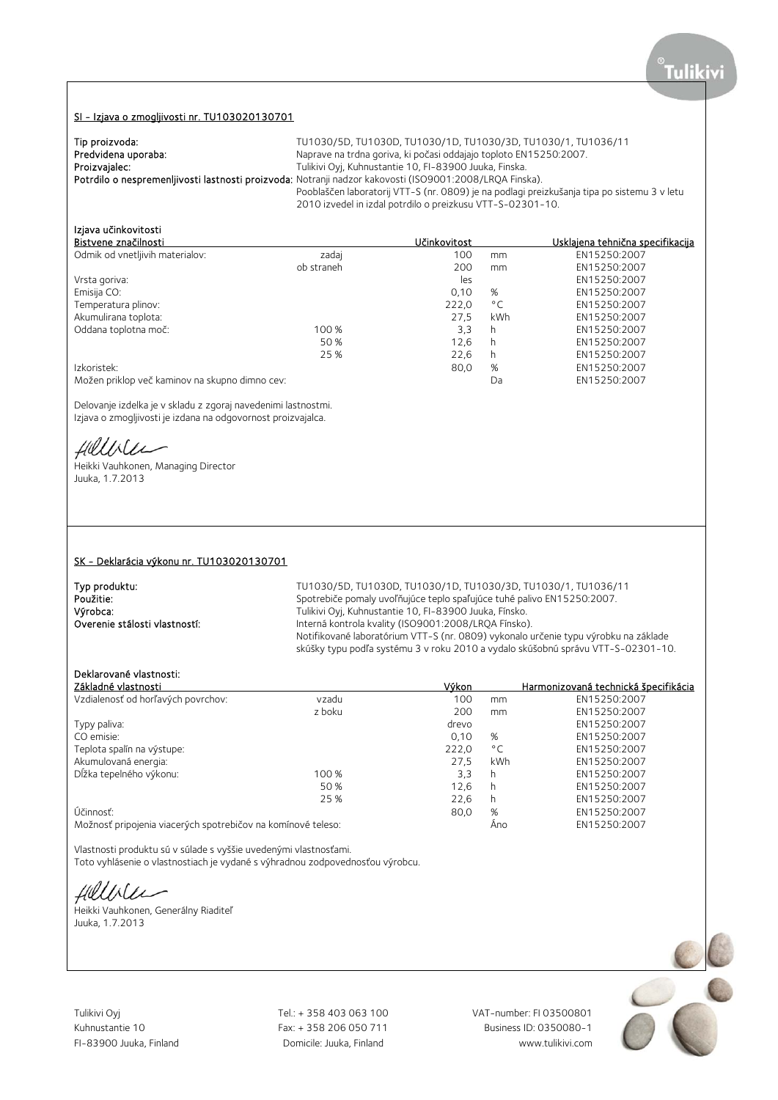#### SI - Izjava o zmogljivosti nr. TU103020130701

| Tip proizvoda:      | TU1030/5D, TU1030D, TU1030/1D, TU1030/3D, TU1030/1, TU1036/11                                           |
|---------------------|---------------------------------------------------------------------------------------------------------|
| Predvidena uporaba: | Naprave na trdna goriva, ki počasi oddajajo toploto EN15250:2007.                                       |
| Proizvajalec:       | Tulikivi Oyj, Kuhnustantie 10, FI-83900 Juuka, Finska.                                                  |
|                     | Potrdilo o nespremenljivosti lastnosti proizvoda: Notranji nadzor kakovosti (ISO9001:2008/LRQA Finska). |
|                     | Pooblaščen laboratorij VTT-S (nr. 0809) je na podlagi preizkušanja tipa po sistemu 3 v letu             |
|                     | 2010 izvedel in izdal potrdilo o preizkusu VTT-S-02301-10.                                              |

# Izjava učinkovitosti

|            | Učinkovitost                                   |              | Usklajena tehnična specifikacija |
|------------|------------------------------------------------|--------------|----------------------------------|
| zadaj      | 100                                            | mm           | EN15250:2007                     |
| ob straneh | 200                                            | mm           | EN15250:2007                     |
|            | les                                            |              | EN15250:2007                     |
|            | 0,10                                           | %            | EN15250:2007                     |
|            | 222,0                                          | $^{\circ}$ C | EN15250:2007                     |
|            | 27.5                                           | kWh          | EN15250:2007                     |
| 100 %      | 3,3                                            | h            | EN15250:2007                     |
| 50 %       | 12.6                                           | h            | EN15250:2007                     |
| 25 %       | 22,6                                           | h            | EN15250:2007                     |
|            | 80,0                                           | %            | EN15250:2007                     |
|            |                                                | Da           | EN15250:2007                     |
|            | Možen priklop več kaminov na skupno dimno cev: |              |                                  |

Delovanje izdelka je v skladu z zgoraj navedenimi lastnostmi. Izjava o zmogljivosti je izdana na odgovornost proizvajalca.

Hillville

Heikki Vauhkonen, Managing Director Juuka, 1.7.2013

#### SK - Deklarácia výkonu nr. TU103020130701

**Typ produktu:**<br>TU1030/5D, TU1030/5D, TU1030/1D, TU1030/3D, TU1030/1D, TU1030/1D, TU1030/1, TU1036/11<br>Spotrebiče pomaly uvoľňujúce teplo spaľujúce tuhé palivo EN15250:2007. Použitie:<br>Spotrebiče pomaly uvoľňujúce teplo spaľujúce tuhé palivo EN15250:2007.<br>Spotrebiče Tulikivi Oyi, Kuhnustantie 10, FI-83900 Juuka, Fínsko. Výrobca: Tulikivi Oyj, Kuhnustantie 10, FI-83900 Juuka, Fínsko. Interná kontrola kvality (ISO9001:2008/LRQA Fínsko). Notifikované laboratórium VTT-S (nr. 0809) vykonalo určenie typu výrobku na základe skúšky typu podľa systému 3 v roku 2010 a vydalo skúšobnú správu VTT-S-02301-10.

### Deklarované vlastnosti:

| Základné vlastnosti                                          |        | Výkon |              | Harmonizovaná technická špecifikácia |
|--------------------------------------------------------------|--------|-------|--------------|--------------------------------------|
| Vzdialenosť od horľavých povrchov:                           | vzadu  | 100   | mm           | EN15250:2007                         |
|                                                              | z boku | 200   | mm           | EN15250:2007                         |
| Typy paliva:                                                 |        | drevo |              | EN15250:2007                         |
| CO emisie:                                                   |        | 0.10  | %            | EN15250:2007                         |
| Teplota spalín na výstupe:                                   |        | 222,0 | $^{\circ}$ C | EN15250:2007                         |
| Akumulovaná energia:                                         |        | 27.5  | kWh          | EN15250:2007                         |
| Dĺžka tepelného výkonu:                                      | 100 %  | 3,3   | h            | EN15250:2007                         |
|                                                              | 50%    | 12.6  | h            | EN15250:2007                         |
|                                                              | 25 %   | 22.6  | h            | EN15250:2007                         |
| Účinnosť:                                                    |        | 80,0  | %            | EN15250:2007                         |
| Možnosť pripojenia viacerých spotrebičov na komínové teleso: |        |       | Ano          | EN15250:2007                         |

Vlastnosti produktu sú v súlade s vyššie uvedenými vlastnosťami.

Toto vyhlásenie o vlastnostiach je vydané s výhradnou zodpovednosťou výrobcu.

fillbiler

Heikki Vauhkonen, Generálny Riaditeľ Juuka, 1.7.2013

Tulikivi Oyj Tel.: + 358 403 063 100 VAT-number: FI 03500801